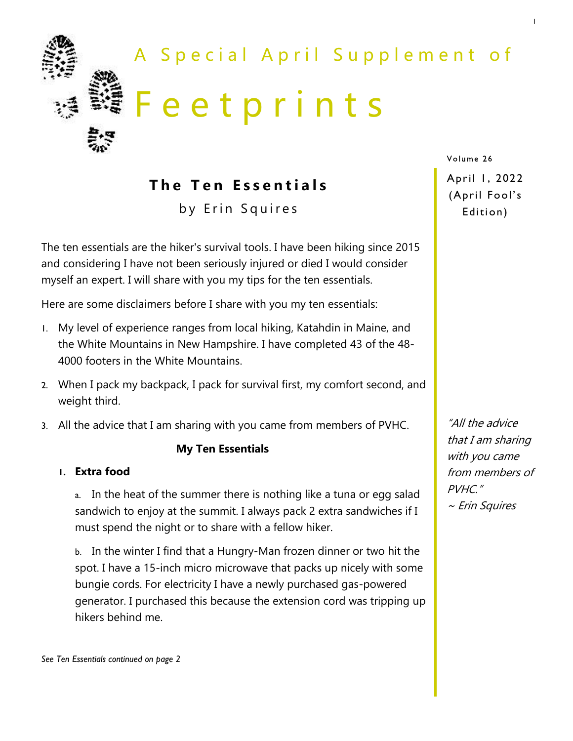

**The Ten Essentials** 

by Erin Squires

The ten essentials are the hiker's survival tools. I have been hiking since 2015 and considering I have not been seriously injured or died I would consider myself an expert. I will share with you my tips for the ten essentials.

Here are some disclaimers before I share with you my ten essentials:

- 1. My level of experience ranges from local hiking, Katahdin in Maine, and the White Mountains in New Hampshire. I have completed 43 of the 48- 4000 footers in the White Mountains.
- 2. When I pack my backpack, I pack for survival first, my comfort second, and weight third.
- 3. All the advice that I am sharing with you came from members of PVHC.

#### **My Ten Essentials**

#### **1. Extra food**

a. In the heat of the summer there is nothing like a tuna or egg salad sandwich to enjoy at the summit. I always pack 2 extra sandwiches if I must spend the night or to share with a fellow hiker.

b. In the winter I find that a Hungry-Man frozen dinner or two hit the spot. I have a 15-inch micro microwave that packs up nicely with some bungie cords. For electricity I have a newly purchased gas-powered generator. I purchased this because the extension cord was tripping up hikers behind me.

Volume 26

April 1, 2022 (April Fool's Edition)

1

"All the advice that I am sharing with you came from members of PVHC." ~ Erin Squires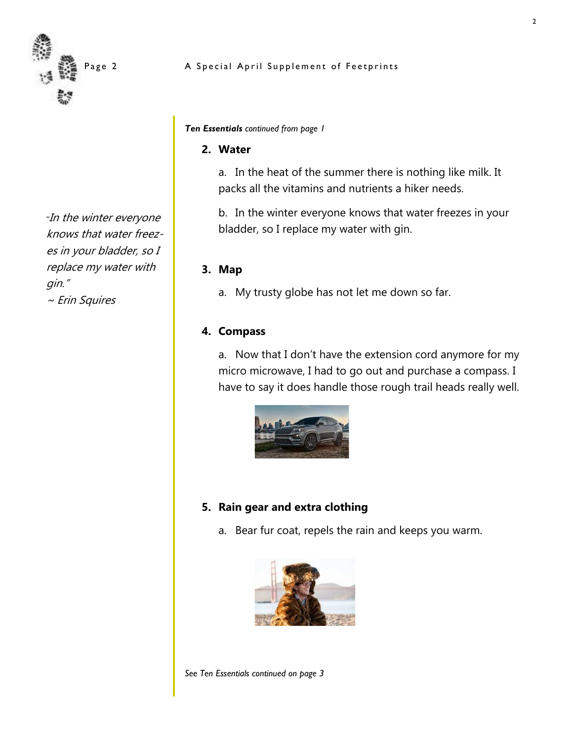

*"*In the winter everyone knows that water freezes in your bladder, so I replace my water with gin."

~ Erin Squires

#### A Special April Supplement of Feetprints

*Ten Essentials continued from page 1*

#### **2. Water**

a. In the heat of the summer there is nothing like milk. It packs all the vitamins and nutrients a hiker needs.

b. In the winter everyone knows that water freezes in your bladder, so I replace my water with gin.

#### **3. Map**

a. My trusty globe has not let me down so far.

#### **4. Compass**

a. Now that I don't have the extension cord anymore for my micro microwave, I had to go out and purchase a compass. I have to say it does handle those rough trail heads really well.



### **5. Rain gear and extra clothing**

a. Bear fur coat, repels the rain and keeps you warm.



*See Ten Essentials continued on page 3*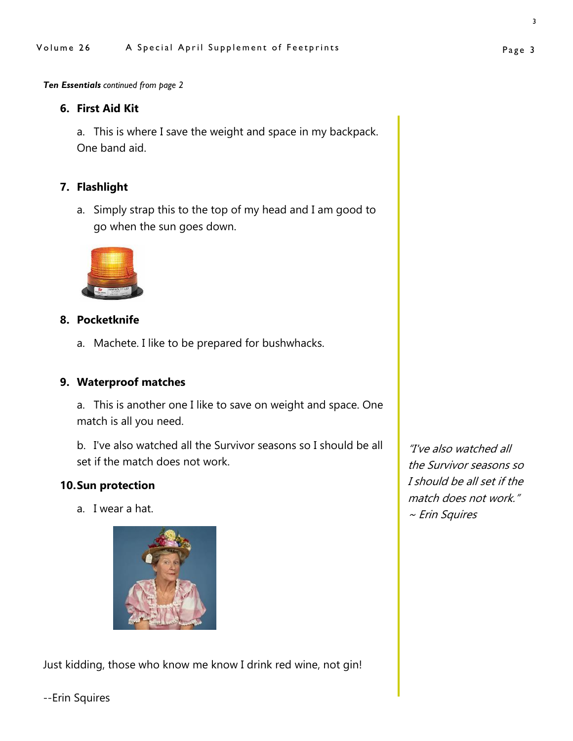*Ten Essentials continued from page 2*

#### **6. First Aid Kit**

a. This is where I save the weight and space in my backpack. One band aid.

### **7. Flashlight**

a. Simply strap this to the top of my head and I am good to go when the sun goes down.



### **8. Pocketknife**

a. Machete. I like to be prepared for bushwhacks.

## **9. Waterproof matches**

a. This is another one I like to save on weight and space. One match is all you need.

b. I've also watched all the Survivor seasons so I should be all set if the match does not work.

#### **10.Sun protection**

a. I wear a hat.



Just kidding, those who know me know I drink red wine, not gin!

"I've also watched all the Survivor seasons so I should be all set if the match does not work." ~ Erin Squires

--Erin Squires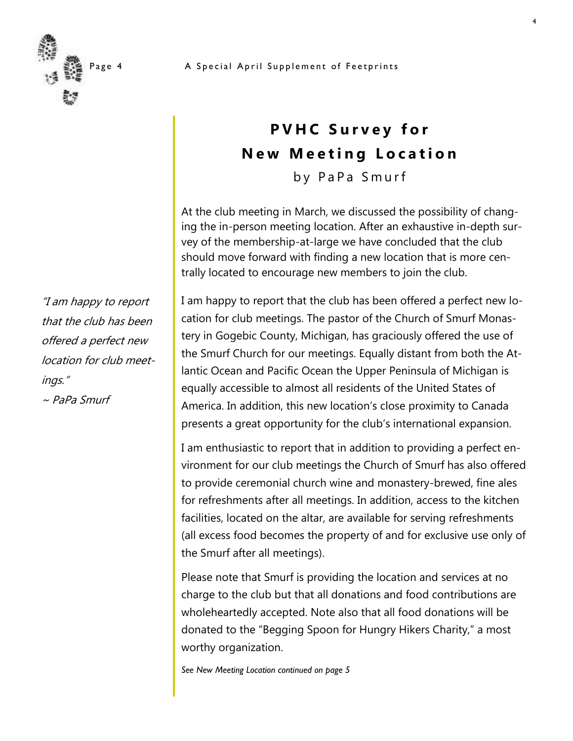

# **PVHC Survey for New Meeting Location**

by PaPa Smurf

At the club meeting in March, we discussed the possibility of changing the in-person meeting location. After an exhaustive in-depth survey of the membership-at-large we have concluded that the club should move forward with finding a new location that is more centrally located to encourage new members to join the club.

I am happy to report that the club has been offered a perfect new location for club meetings. The pastor of the Church of Smurf Monastery in Gogebic County, Michigan, has graciously offered the use of the Smurf Church for our meetings. Equally distant from both the Atlantic Ocean and Pacific Ocean the Upper Peninsula of Michigan is equally accessible to almost all residents of the United States of America. In addition, this new location's close proximity to Canada presents a great opportunity for the club's international expansion.

I am enthusiastic to report that in addition to providing a perfect environment for our club meetings the Church of Smurf has also offered to provide ceremonial church wine and monastery-brewed, fine ales for refreshments after all meetings. In addition, access to the kitchen facilities, located on the altar, are available for serving refreshments (all excess food becomes the property of and for exclusive use only of the Smurf after all meetings).

Please note that Smurf is providing the location and services at no charge to the club but that all donations and food contributions are wholeheartedly accepted. Note also that all food donations will be donated to the "Begging Spoon for Hungry Hikers Charity," a most worthy organization.

*See New Meeting Location continued on page 5*

"I am happy to report that the club has been offered a perfect new location for club meetings."  $\sim$  PaPa Smurf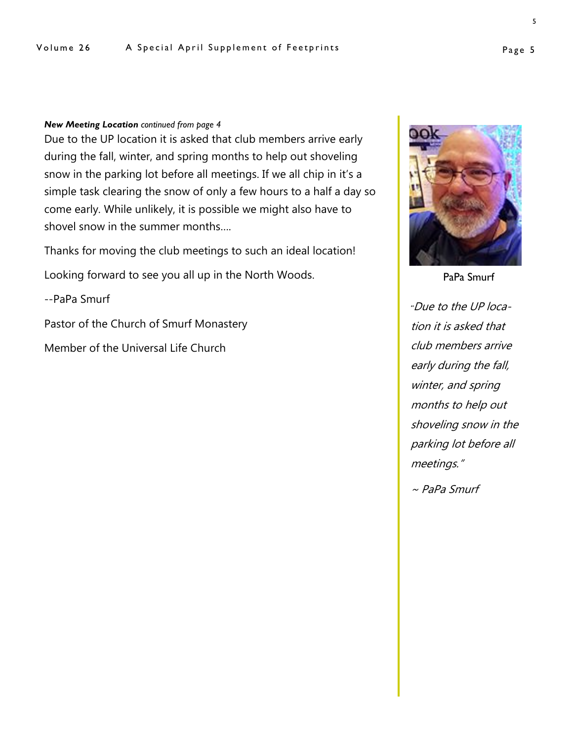#### *New Meeting Location continued from page 4*

Due to the UP location it is asked that club members arrive early during the fall, winter, and spring months to help out shoveling snow in the parking lot before all meetings. If we all chip in it's a simple task clearing the snow of only a few hours to a half a day so come early. While unlikely, it is possible we might also have to shovel snow in the summer months….

Thanks for moving the club meetings to such an ideal location!

Looking forward to see you all up in the North Woods.

--PaPa Smurf

Pastor of the Church of Smurf Monastery

Member of the Universal Life Church



*"*Due to the UP location it is asked that club members arrive early during the fall, winter, and spring months to help out shoveling snow in the parking lot before all meetings."

~ PaPa Smurf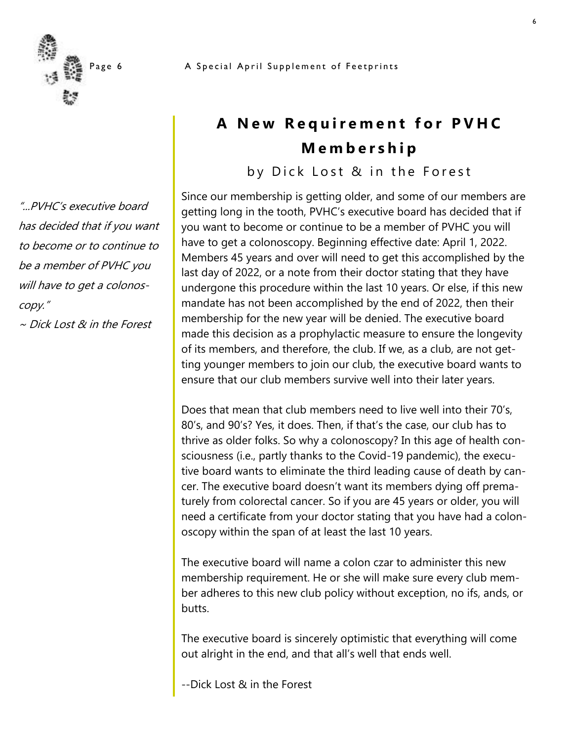

"...PVHC's executive board has decided that if you want to become or to continue to be a member of PVHC you will have to get a colonoscopy."

~ Dick Lost & in the Forest

# **A New Requirement for PVHC M e m b e r s h i p**

by Dick Lost & in the Forest

Since our membership is getting older, and some of our members are getting long in the tooth, PVHC's executive board has decided that if you want to become or continue to be a member of PVHC you will have to get a colonoscopy. Beginning effective date: April 1, 2022. Members 45 years and over will need to get this accomplished by the last day of 2022, or a note from their doctor stating that they have undergone this procedure within the last 10 years. Or else, if this new mandate has not been accomplished by the end of 2022, then their membership for the new year will be denied. The executive board made this decision as a prophylactic measure to ensure the longevity of its members, and therefore, the club. If we, as a club, are not getting younger members to join our club, the executive board wants to ensure that our club members survive well into their later years.

Does that mean that club members need to live well into their 70's, 80's, and 90's? Yes, it does. Then, if that's the case, our club has to thrive as older folks. So why a colonoscopy? In this age of health consciousness (i.e., partly thanks to the Covid-19 pandemic), the executive board wants to eliminate the third leading cause of death by cancer. The executive board doesn't want its members dying off prematurely from colorectal cancer. So if you are 45 years or older, you will need a certificate from your doctor stating that you have had a colonoscopy within the span of at least the last 10 years.

The executive board will name a colon czar to administer this new membership requirement. He or she will make sure every club member adheres to this new club policy without exception, no ifs, ands, or butts.

The executive board is sincerely optimistic that everything will come out alright in the end, and that all's well that ends well.

--Dick Lost & in the Forest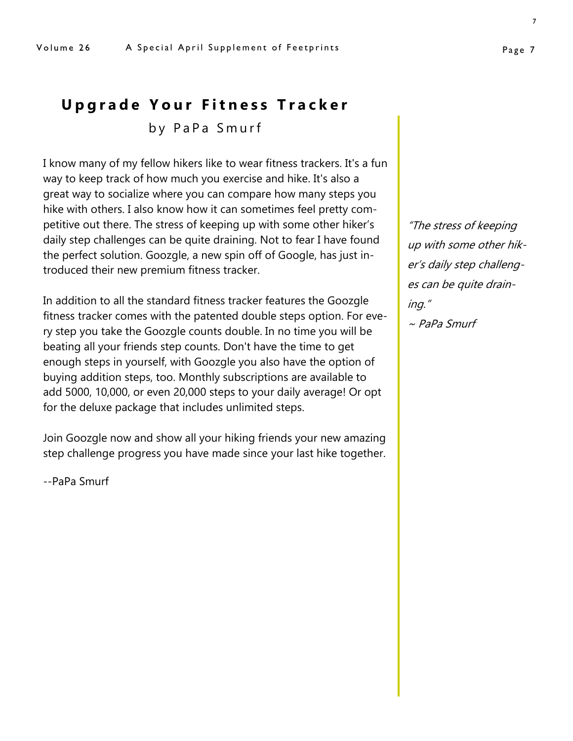## **Upgrade Your Fitness Tracker**

by PaPa Smurf

I know many of my fellow hikers like to wear fitness trackers. It's a fun way to keep track of how much you exercise and hike. It's also a great way to socialize where you can compare how many steps you hike with others. I also know how it can sometimes feel pretty competitive out there. The stress of keeping up with some other hiker's daily step challenges can be quite draining. Not to fear I have found the perfect solution. Goozgle, a new spin off of Google, has just introduced their new premium fitness tracker.

In addition to all the standard fitness tracker features the Goozgle fitness tracker comes with the patented double steps option. For every step you take the Goozgle counts double. In no time you will be beating all your friends step counts. Don't have the time to get enough steps in yourself, with Goozgle you also have the option of buying addition steps, too. Monthly subscriptions are available to add 5000, 10,000, or even 20,000 steps to your daily average! Or opt for the deluxe package that includes unlimited steps.

Join Goozgle now and show all your hiking friends your new amazing step challenge progress you have made since your last hike together.

--PaPa Smurf

"The stress of keeping up with some other hiker's daily step challenges can be quite draining."

 $\sim$  PaPa Smurf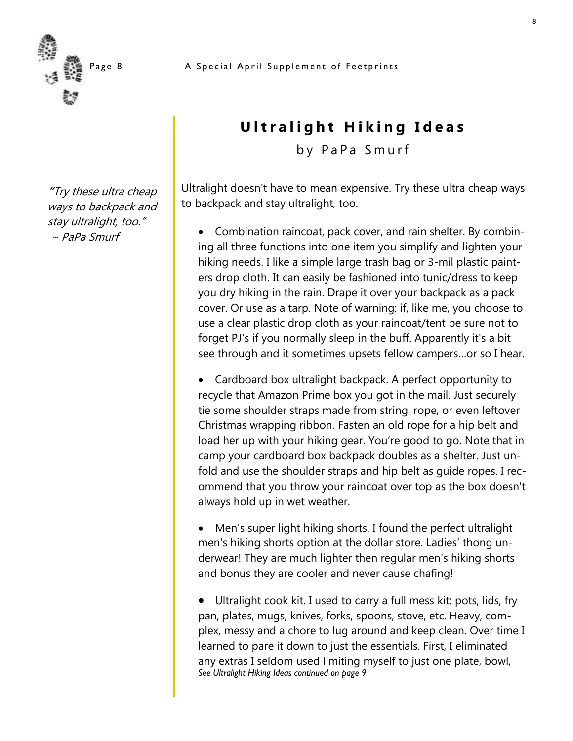

**"**Try these ultra cheap ways to backpack and stay ultralight, too."  $\sim$  PaPa Smurf

# **Ultralight Hiking Ideas**

by PaPa Smurf

Ultralight doesn't have to mean expensive. Try these ultra cheap ways to backpack and stay ultralight, too.

• Combination raincoat, pack cover, and rain shelter. By combining all three functions into one item you simplify and lighten your hiking needs. I like a simple large trash bag or 3-mil plastic painters drop cloth. It can easily be fashioned into tunic/dress to keep you dry hiking in the rain. Drape it over your backpack as a pack cover. Or use as a tarp. Note of warning: if, like me, you choose to use a clear plastic drop cloth as your raincoat/tent be sure not to forget PJ's if you normally sleep in the buff. Apparently it's a bit see through and it sometimes upsets fellow campers…or so I hear.

• Cardboard box ultralight backpack. A perfect opportunity to recycle that Amazon Prime box you got in the mail. Just securely tie some shoulder straps made from string, rope, or even leftover Christmas wrapping ribbon. Fasten an old rope for a hip belt and load her up with your hiking gear. You're good to go. Note that in camp your cardboard box backpack doubles as a shelter. Just unfold and use the shoulder straps and hip belt as guide ropes. I recommend that you throw your raincoat over top as the box doesn't always hold up in wet weather.

• Men's super light hiking shorts. I found the perfect ultralight men's hiking shorts option at the dollar store. Ladies' thong underwear! They are much lighter then regular men's hiking shorts and bonus they are cooler and never cause chafing!

Ultralight cook kit. I used to carry a full mess kit: pots, lids, fry pan, plates, mugs, knives, forks, spoons, stove, etc. Heavy, complex, messy and a chore to lug around and keep clean. Over time I learned to pare it down to just the essentials. First, I eliminated any extras I seldom used limiting myself to just one plate, bowl, *See Ultralight Hiking Ideas continued on page 9*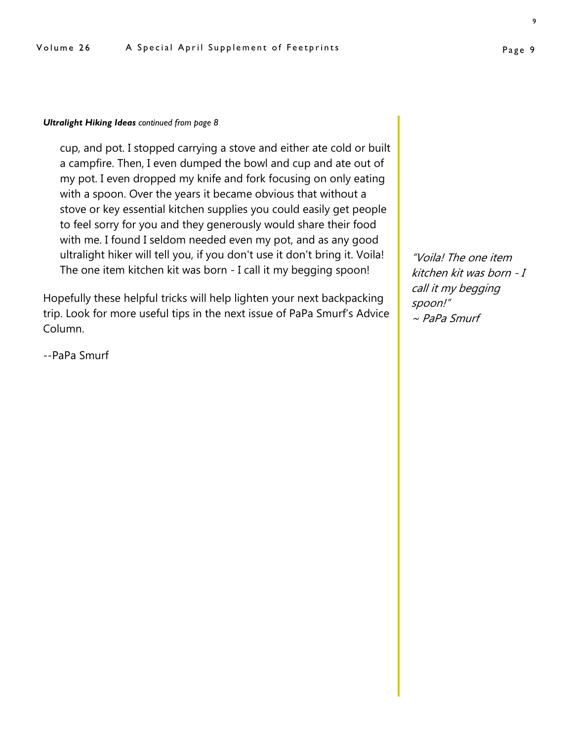#### *Ultralight Hiking Ideas continued from page 8*

cup, and pot. I stopped carrying a stove and either ate cold or built a campfire. Then, I even dumped the bowl and cup and ate out of my pot. I even dropped my knife and fork focusing on only eating with a spoon. Over the years it became obvious that without a stove or key essential kitchen supplies you could easily get people to feel sorry for you and they generously would share their food with me. I found I seldom needed even my pot, and as any good ultralight hiker will tell you, if you don't use it don't bring it. Voila! The one item kitchen kit was born - I call it my begging spoon!

Hopefully these helpful tricks will help lighten your next backpacking trip. Look for more useful tips in the next issue of PaPa Smurf's Advice Column.

--PaPa Smurf

"Voila! The one item kitchen kit was born - I call it my begging spoon!"  $\sim$  PaPa Smurf

9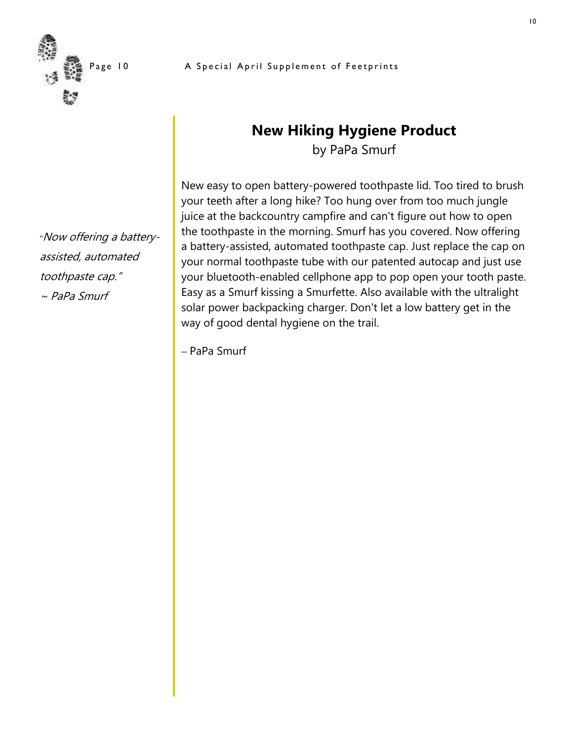

*"*Now offering a battery-

assisted, automated

toothpaste cap."

 $\sim$  PaPa Smurf

# **New Hiking Hygiene Product**

by PaPa Smurf

New easy to open battery-powered toothpaste lid. Too tired to brush your teeth after a long hike? Too hung over from too much jungle juice at the backcountry campfire and can't figure out how to open the toothpaste in the morning. Smurf has you covered. Now offering a battery-assisted, automated toothpaste cap. Just replace the cap on your normal toothpaste tube with our patented autocap and just use your bluetooth-enabled cellphone app to pop open your tooth paste. Easy as a Smurf kissing a Smurfette. Also available with the ultralight solar power backpacking charger. Don't let a low battery get in the way of good dental hygiene on the trail.

– PaPa Smurf